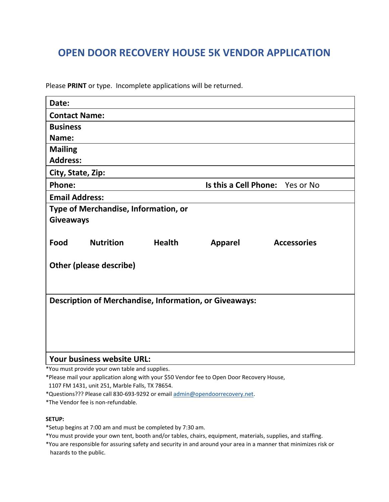## **OPEN DOOR RECOVERY HOUSE 5K VENDOR APPLICATION**

Please **PRINT** or type. Incomplete applications will be returned.

| Date:                                                         |                  |               |                                 |                    |
|---------------------------------------------------------------|------------------|---------------|---------------------------------|--------------------|
| <b>Contact Name:</b>                                          |                  |               |                                 |                    |
| <b>Business</b>                                               |                  |               |                                 |                    |
| Name:                                                         |                  |               |                                 |                    |
| <b>Mailing</b>                                                |                  |               |                                 |                    |
| <b>Address:</b>                                               |                  |               |                                 |                    |
| City, State, Zip:                                             |                  |               |                                 |                    |
| <b>Phone:</b>                                                 |                  |               | Is this a Cell Phone: Yes or No |                    |
| <b>Email Address:</b>                                         |                  |               |                                 |                    |
| Type of Merchandise, Information, or                          |                  |               |                                 |                    |
| <b>Giveaways</b>                                              |                  |               |                                 |                    |
|                                                               |                  |               |                                 |                    |
| Food                                                          | <b>Nutrition</b> | <b>Health</b> | <b>Apparel</b>                  | <b>Accessories</b> |
|                                                               |                  |               |                                 |                    |
| <b>Other (please describe)</b>                                |                  |               |                                 |                    |
|                                                               |                  |               |                                 |                    |
|                                                               |                  |               |                                 |                    |
| <b>Description of Merchandise, Information, or Giveaways:</b> |                  |               |                                 |                    |
|                                                               |                  |               |                                 |                    |
|                                                               |                  |               |                                 |                    |
|                                                               |                  |               |                                 |                    |
|                                                               |                  |               |                                 |                    |
| <b>Your business website URL:</b>                             |                  |               |                                 |                    |

\*You must provide your own table and supplies.

\*Please mail your application along with your \$50 Vendor fee to Open Door Recovery House,

1107 FM 1431, unit 251, Marble Falls, TX 78654.

\*Questions??? Please call 830-693-9292 or email [admin@opendoorrecovery.net.](mailto:admin@opendoorrecovery.net)

\*The Vendor fee is non-refundable.

## **SETUP:**

\*Setup begins at 7:00 am and must be completed by 7:30 am.

\*You must provide your own tent, booth and/or tables, chairs, equipment, materials, supplies, and staffing.

\*You are responsible for assuring safety and security in and around your area in a manner that minimizes risk or hazards to the public.